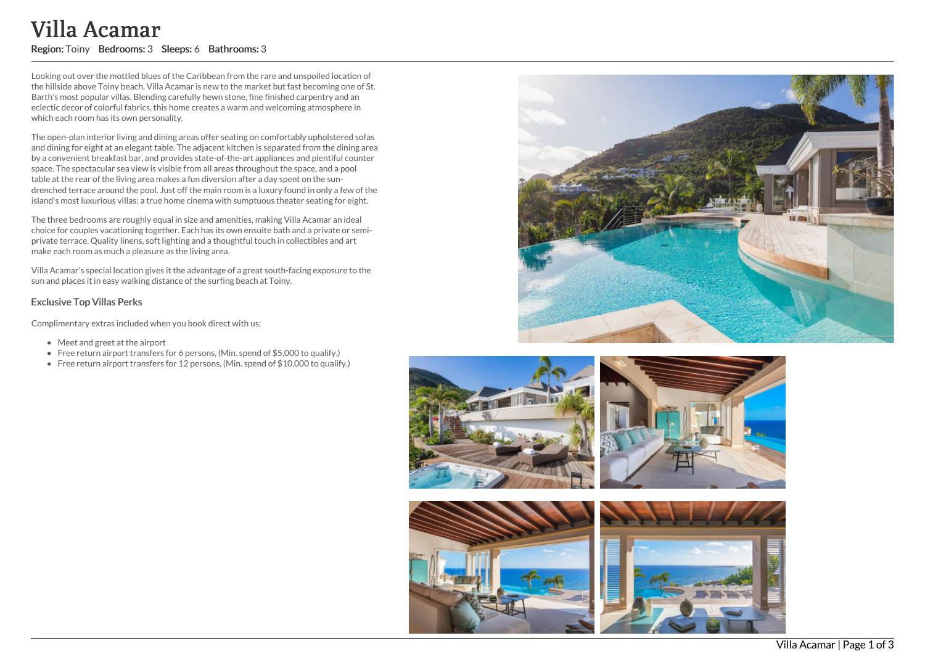## Villa Acamar

## Region: Toiny Bedrooms: 3 Sleeps: 6 Bathrooms: 3

Looking out over the mottled blues of the Caribbean from the rare and unspoiled location of the hillside above Toiny beach, Villa Acamar is new to the market but fast becoming one of St. Barth's most popular villas. Blending carefully hewn stone, fine finished carpentry and an eclectic decor of colorful fabrics, this home creates a warm and welcoming atmosphere in which each room has its own personality.

The open-plan interior living and dining areas offer seating on comfortably upholstered sofas and dining for eight at an elegant table. The adjacent kitchen is separated from the dining area by a convenient breakfast bar, and provides state-of-the-art appliances and plentiful counter space. The spectacular sea view is visible from all areas throughout the space, and a pool table at the rear of the living area makes a fun diversion after a day spent on the sundrenched terrace around the pool. Just off the main room is a luxury found in only a few of the island's most luxurious villas: a true home cinema with sumptuous theater seating for eight.

The three bedrooms are roughly equal in size and amenities, making Villa Acamar an ideal choice for couples vacationing together. Each has its own ensuite bath and a private or semiprivate terrace. Quality linens, soft lighting and a thoughtful touch in collectibles and art make each room as much a pleasure as the living area.

Villa Acamar's special location gives it the advantage of a great south-facing exposure to the sun and places it in easy walking distance of the surfing beach at Toiny.

## Exclusive Top Villas Perks

Complimentary extras included when you book direct with us:

- Meet and greet at the airport
- Free return airport transfers for 6 persons, (Min. spend of \$5,000 to qualify.)
- Free return airport transfers for 12 persons, (Min. spend of \$10,000 to qualify.)



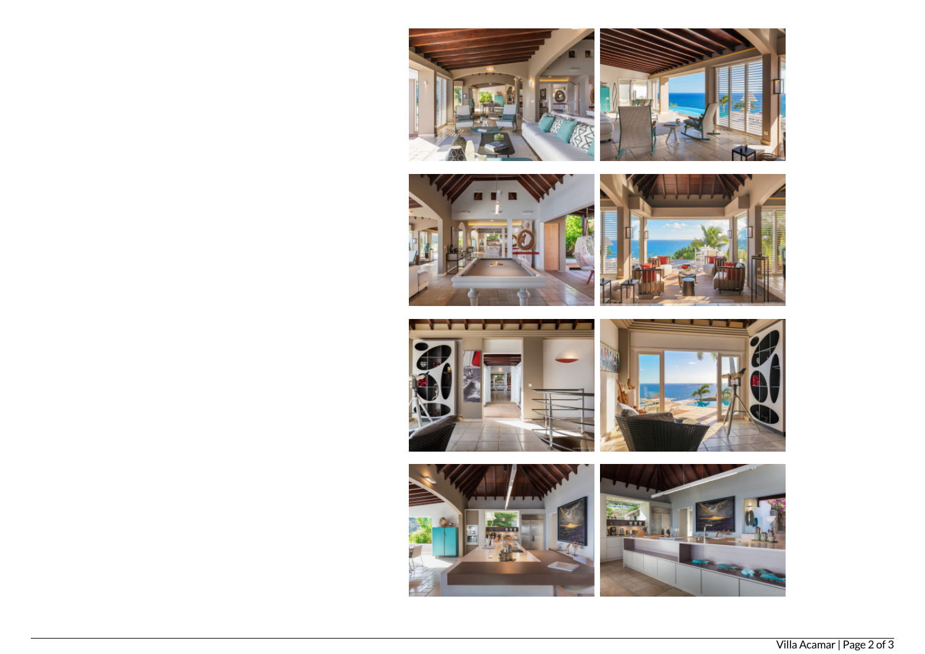